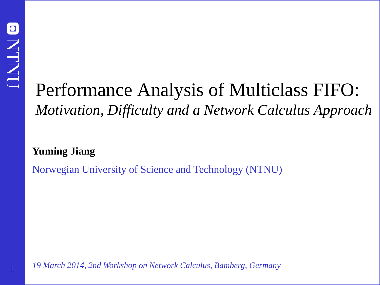1

# Performance Analysis of Multiclass FIFO: *Motivation, Difficulty and a Network Calculus Approach*

**Yuming Jiang**

Norwegian University of Science and Technology (NTNU)

*19 March 2014, 2nd Workshop on Network Calculus, Bamberg, Germany*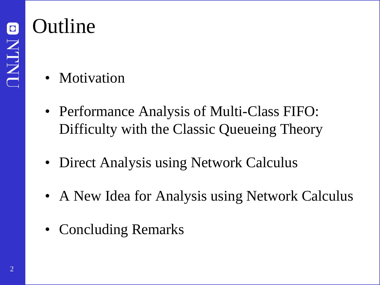# Outline

- Motivation
- Performance Analysis of Multi-Class FIFO: Difficulty with the Classic Queueing Theory
- Direct Analysis using Network Calculus
- A New Idea for Analysis using Network Calculus
- Concluding Remarks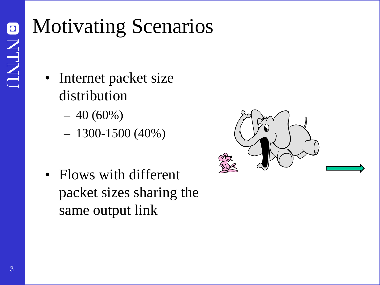# Motivating Scenarios

- Internet packet size distribution
	- $-40(60\%)$
	- $-1300-1500(40\%)$
- Flows with different packet sizes sharing the same output link

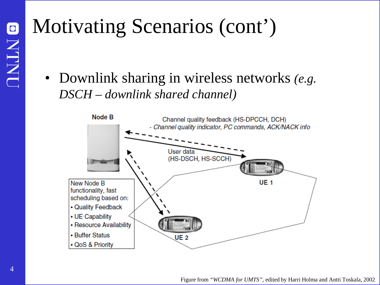# Motivating Scenarios (cont')

• Downlink sharing in wireless networks *(e.g. DSCH – downlink shared channel)*

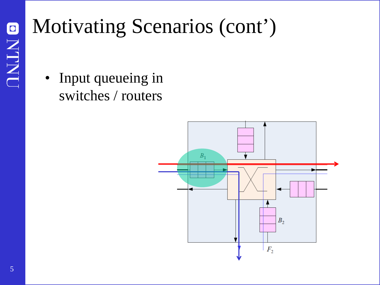# Motivating Scenarios (cont')

• Input queueing in switches / routers

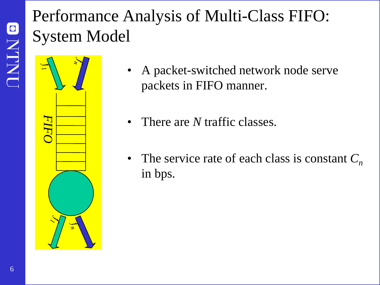## Performance Analysis of Multi-Class FIFO: System Model



- A packet-switched network node serve packets in FIFO manner.
- There are *N* traffic classes.
- The service rate of each class is constant  $C_n$ in bps.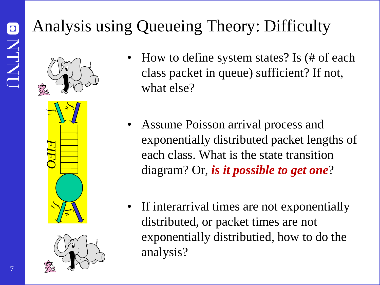# Analysis using Queueing Theory: Difficulty





- How to define system states? Is (# of each class packet in queue) sufficient? If not, what else?
- Assume Poisson arrival process and exponentially distributed packet lengths of each class. What is the state transition diagram? Or, *is it possible to get one*?
- If interarrival times are not exponentially distributed, or packet times are not exponentially distributied, how to do the analysis?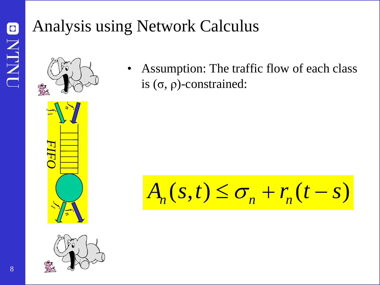## Analysis using Network Calculus



*FIFO*



• Assumption: The traffic flow of each class is (σ, ρ)-constrained:

 $A_n(s,t) \leq \sigma_n + r_n(t-s)$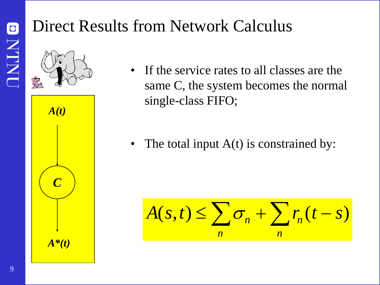### Direct Results from Network Calculus



• If the service rates to all classes are the same C, the system becomes the normal single-class FIFO;

• The total input  $A(t)$  is constrained by:

$$
A(s,t) \leq \sum_{n} \sigma_n + \sum_{n} r_n (t-s)
$$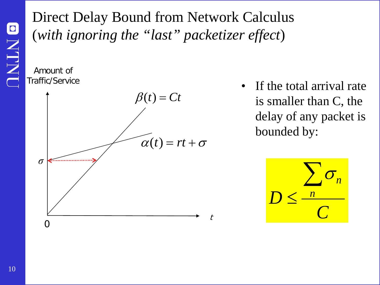#### Direct Delay Bound from Network Calculus (*with ignoring the "last" packetizer effect*)

Amount of Traffic/Service



If the total arrival rate is smaller than C, the delay of any packet is bounded by:

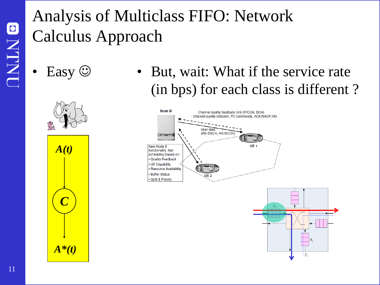# Analysis of Multiclass FIFO: Network Calculus Approach

- -
	- *C A(t)*

*A\*(t)*

Easy  $\odot$  • But, wait: What if the service rate (in bps) for each class is different ?



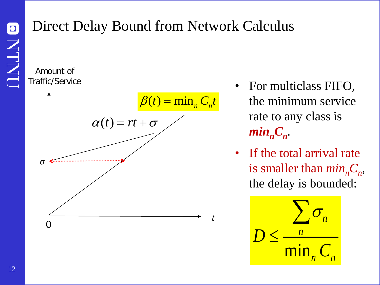#### Direct Delay Bound from Network Calculus

Amount of Traffic/Service



- For multiclass FIFO, the minimum service rate to any class is  $min_nC_n$ .
- If the total arrival rate is smaller than  $min<sub>n</sub>C<sub>n</sub>$ , the delay is bounded:

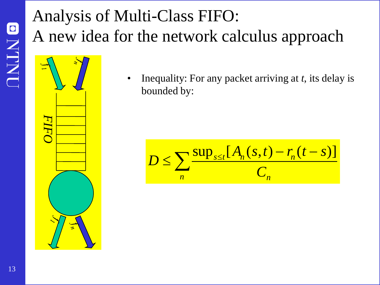# Analysis of Multi-Class FIFO: A new idea for the network calculus approach



• Inequality: For any packet arriving at *t*, its delay is bounded by:

$$
D \leq \sum_{n} \frac{\sup_{s \leq t} [A_n(s,t) - r_n(t-s)]}{C_n}
$$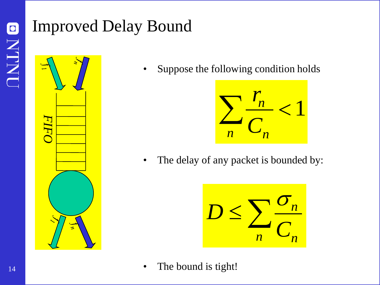## Improved Delay Bound



• Suppose the following condition holds



• The delay of any packet is bounded by:



• The bound is tight!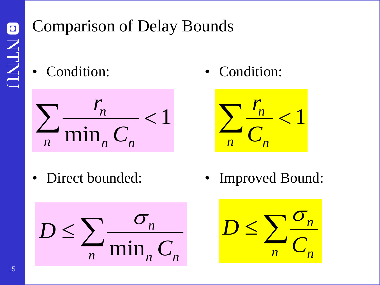## Comparison of Delay Bounds

• Condition:



• Condition:



• Direct bounded:



• Improved Bound:

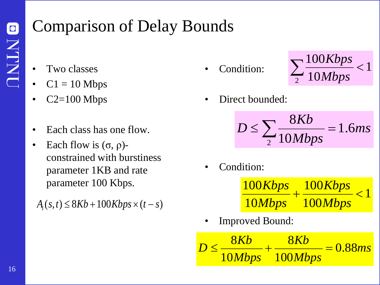## Comparison of Delay Bounds

- Two classes
- $C1 = 10$  Mbps
- $C2=100$  Mbps
- Each class has one flow.
- Each flow is  $(σ, ρ)$ constrained with burstiness parameter 1KB and rate parameter 100 Kbps.

 $A_i(s,t) \leq 8Kb + 100Kbps \times (t-s)$ 

Condition:



Direct bounded:

*ms Mbps*  $D \le \sum_{1.60 \text{ MHz}} \frac{8Kb}{2.10 \text{ Hz}} = 1.6$ 10 8 2  $\leq \sum \frac{\delta \Lambda D}{10 M b n s}$ 

Condition:

1 100 100 10 100  $+\frac{100 \text{N} \nu \text{p}}{400 \text{N} \cdot \text{s}}$ *Mbps Kbps Mbps Kbps*

• Improved Bound:

$$
D \le \frac{8Kb}{10Mbps} + \frac{8Kb}{100Mbps} = 0.88ms
$$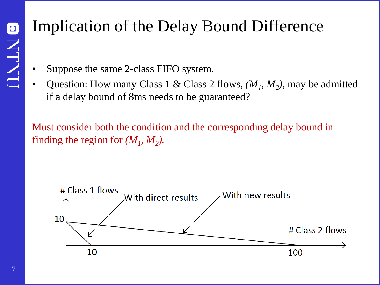### Implication of the Delay Bound Difference

- Suppose the same 2-class FIFO system.
- Question: How many Class 1 & Class 2 flows,  $(M_1, M_2)$ , may be admitted if a delay bound of 8ms needs to be guaranteed?

Must consider both the condition and the corresponding delay bound in finding the region for  $(M_1, M_2)$ .